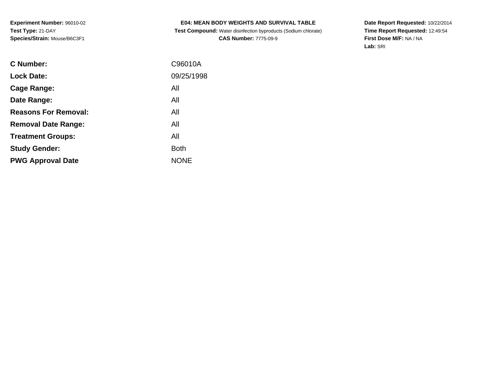**Experiment Number:** 96010-02**Test Type:** 21-DAY**Species/Strain:** Mouse/B6C3F1

# **E04: MEAN BODY WEIGHTS AND SURVIVAL TABLE**

 **Test Compound:** Water disinfection byproducts (Sodium chlorate)**CAS Number:** 7775-09-9

**Date Report Requested:** 10/22/2014 **Time Report Requested:** 12:49:54**First Dose M/F:** NA / NA**Lab:** SRI

| C Number:                   | C96010A     |
|-----------------------------|-------------|
| <b>Lock Date:</b>           | 09/25/1998  |
| Cage Range:                 | All         |
| Date Range:                 | All         |
| <b>Reasons For Removal:</b> | All         |
| <b>Removal Date Range:</b>  | All         |
| <b>Treatment Groups:</b>    | All         |
| <b>Study Gender:</b>        | <b>Both</b> |
| <b>PWG Approval Date</b>    | <b>NONE</b> |
|                             |             |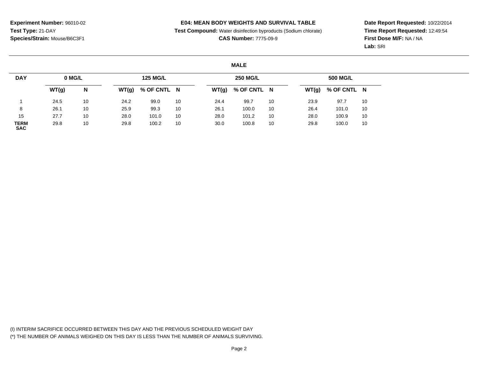**Test Compound:** Water disinfection byproducts (Sodium chlorate)

**CAS Number:** 7775-09-9

**Date Report Requested:** 10/22/2014**Time Report Requested:** 12:49:54**First Dose M/F:** NA / NA**Lab:** SRI

#### **MALE**

| <b>DAY</b>                | 0 MG/L |    |       | <b>125 MG/L</b> |    |      | <b>250 MG/L</b>     |    |      | <b>500 MG/L</b>     |    |
|---------------------------|--------|----|-------|-----------------|----|------|---------------------|----|------|---------------------|----|
|                           | WT(g)  | N  | WT(g) | % OF CNTL N     |    |      | $WT(g)$ % OF CNTL N |    |      | $WT(g)$ % OF CNTL N |    |
|                           | 24.5   | 10 | 24.2  | 99.0            | 10 | 24.4 | 99.7                | 10 | 23.9 | 97.7                | 10 |
| 8                         | 26.1   | 10 | 25.9  | 99.3            | 10 | 26.1 | 100.0               | 10 | 26.4 | 101.0               | 10 |
| 15                        | 27.7   | 10 | 28.0  | 101.0           | 10 | 28.0 | 101.2               | 10 | 28.0 | 100.9               | 10 |
| <b>TERM</b><br><b>SAC</b> | 29.8   | 10 | 29.8  | 100.2           | 10 | 30.0 | 100.8               | 10 | 29.8 | 100.0               | 10 |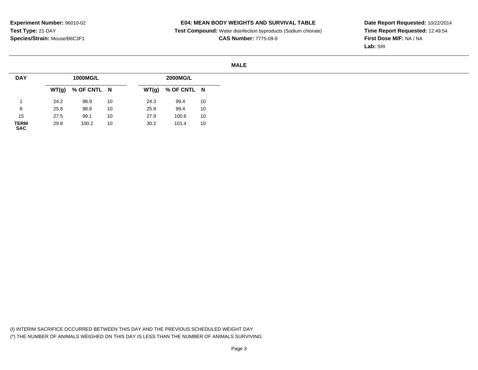**Test Compound:** Water disinfection byproducts (Sodium chlorate)

**CAS Number:** 7775-09-9

**Date Report Requested:** 10/22/2014**Time Report Requested:** 12:49:54**First Dose M/F:** NA / NA**Lab:** SRI

#### **MALE**

| <b>DAY</b>                |       | 1000MG/L    |    |       | 2000MG/L    |    |
|---------------------------|-------|-------------|----|-------|-------------|----|
|                           | WT(g) | % OF CNTL N |    | WT(g) | % OF CNTL N |    |
|                           | 24.2  | 98.9        | 10 | 24.3  | 99.4        | 10 |
| 8                         | 25.8  | 98.8        | 10 | 25.9  | 99.4        | 10 |
| 15                        | 27.5  | 99.1        | 10 | 27.9  | 100.6       | 10 |
| <b>TERM</b><br><b>SAC</b> | 29.8  | 100.2       | 10 | 30.2  | 101.4       | 10 |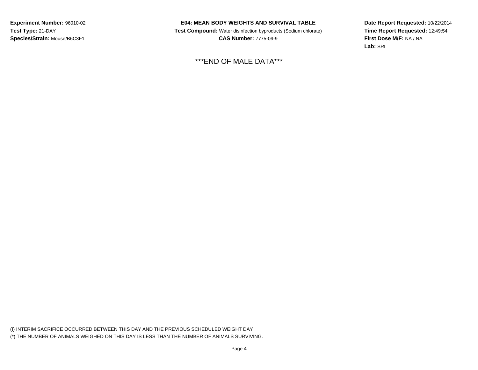**Experiment Number:** 96010-02**Test Type:** 21-DAY**Species/Strain:** Mouse/B6C3F1

## **E04: MEAN BODY WEIGHTS AND SURVIVAL TABLE**

 **Test Compound:** Water disinfection byproducts (Sodium chlorate)**CAS Number:** 7775-09-9

\*\*\*END OF MALE DATA\*\*\*

**Date Report Requested:** 10/22/2014**Time Report Requested:** 12:49:54**First Dose M/F:** NA / NA**Lab:** SRI

(I) INTERIM SACRIFICE OCCURRED BETWEEN THIS DAY AND THE PREVIOUS SCHEDULED WEIGHT DAY(\*) THE NUMBER OF ANIMALS WEIGHED ON THIS DAY IS LESS THAN THE NUMBER OF ANIMALS SURVIVING.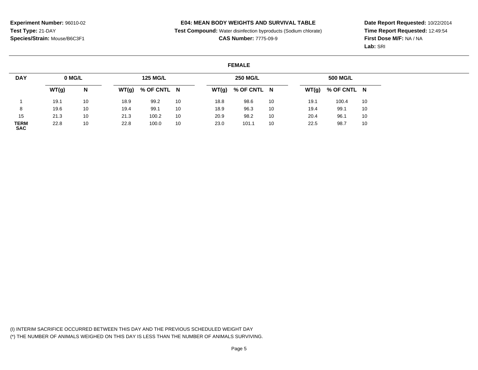**Test Compound:** Water disinfection byproducts (Sodium chlorate)

**CAS Number:** 7775-09-9

**Date Report Requested:** 10/22/2014**Time Report Requested:** 12:49:54**First Dose M/F:** NA / NA**Lab:** SRI

#### **FEMALE**

| <b>DAY</b>                | 0 MG/L |    |       | <b>125 MG/L</b> |    |       | <b>250 MG/L</b> |    |      | 500 MG/L            |    |
|---------------------------|--------|----|-------|-----------------|----|-------|-----------------|----|------|---------------------|----|
|                           | WT(g)  | N  | WT(g) | % OF CNTL N     |    | WT(g) | % OF CNTL N     |    |      | $WT(g)$ % OF CNTL N |    |
|                           | 19.1   | 10 | 18.9  | 99.2            | 10 | 18.8  | 98.6            | 10 | 19.1 | 100.4               | 10 |
| 8                         | 19.6   | 10 | 19.4  | 99.1            | 10 | 18.9  | 96.3            | 10 | 19.4 | 99.1                | 10 |
| 15                        | 21.3   | 10 | 21.3  | 100.2           | 10 | 20.9  | 98.2            | 10 | 20.4 | 96.1                | 10 |
| <b>TERM</b><br><b>SAC</b> | 22.8   | 10 | 22.8  | 100.0           | 10 | 23.0  | 101.1           | 10 | 22.5 | 98.7                | 10 |

(I) INTERIM SACRIFICE OCCURRED BETWEEN THIS DAY AND THE PREVIOUS SCHEDULED WEIGHT DAY(\*) THE NUMBER OF ANIMALS WEIGHED ON THIS DAY IS LESS THAN THE NUMBER OF ANIMALS SURVIVING.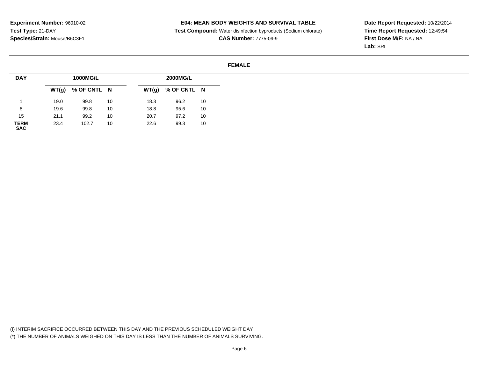**Test Compound:** Water disinfection byproducts (Sodium chlorate)

**CAS Number:** 7775-09-9

**Date Report Requested:** 10/22/2014**Time Report Requested:** 12:49:54**First Dose M/F:** NA / NA**Lab:** SRI

#### **FEMALE**

| <b>DAY</b>          |      | 1000MG/L            |    |      | <b>2000MG/L</b>     |    |
|---------------------|------|---------------------|----|------|---------------------|----|
|                     |      | $WT(g)$ % OF CNTL N |    |      | $WT(g)$ % OF CNTL N |    |
|                     | 19.0 | 99.8                | 10 | 18.3 | 96.2                | 10 |
| 8                   | 19.6 | 99.8                | 10 | 18.8 | 95.6                | 10 |
| 15                  | 21.1 | 99.2                | 10 | 20.7 | 97.2                | 10 |
| <b>TERM<br/>SAC</b> | 23.4 | 102.7               | 10 | 22.6 | 99.3                | 10 |